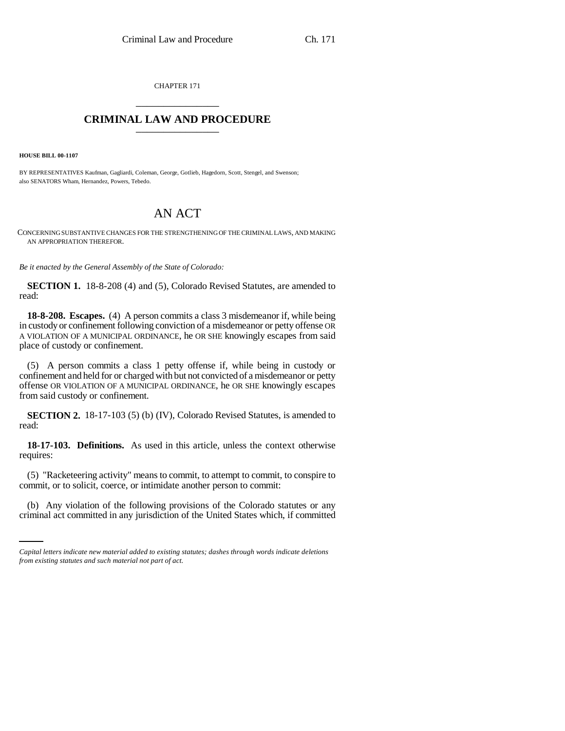CHAPTER 171 \_\_\_\_\_\_\_\_\_\_\_\_\_\_\_

# **CRIMINAL LAW AND PROCEDURE** \_\_\_\_\_\_\_\_\_\_\_\_\_\_\_

**HOUSE BILL 00-1107** 

BY REPRESENTATIVES Kaufman, Gagliardi, Coleman, George, Gotlieb, Hagedorn, Scott, Stengel, and Swenson; also SENATORS Wham, Hernandez, Powers, Tebedo.

# AN ACT

CONCERNING SUBSTANTIVE CHANGES FOR THE STRENGTHENING OF THE CRIMINAL LAWS, AND MAKING AN APPROPRIATION THEREFOR.

*Be it enacted by the General Assembly of the State of Colorado:*

**SECTION 1.** 18-8-208 (4) and (5), Colorado Revised Statutes, are amended to read:

**18-8-208. Escapes.** (4) A person commits a class 3 misdemeanor if, while being in custody or confinement following conviction of a misdemeanor or petty offense OR A VIOLATION OF A MUNICIPAL ORDINANCE, he OR SHE knowingly escapes from said place of custody or confinement.

(5) A person commits a class 1 petty offense if, while being in custody or confinement and held for or charged with but not convicted of a misdemeanor or petty offense OR VIOLATION OF A MUNICIPAL ORDINANCE, he OR SHE knowingly escapes from said custody or confinement.

**SECTION 2.** 18-17-103 (5) (b) (IV), Colorado Revised Statutes, is amended to read:

**18-17-103. Definitions.** As used in this article, unless the context otherwise requires:

(5) "Racketeering activity" means to commit, to attempt to commit, to conspire to commit, or to solicit, coerce, or intimidate another person to commit:

(b) Any violation of the following provisions of the Colorado statutes or any criminal act committed in any jurisdiction of the United States which, if committed

*Capital letters indicate new material added to existing statutes; dashes through words indicate deletions from existing statutes and such material not part of act.*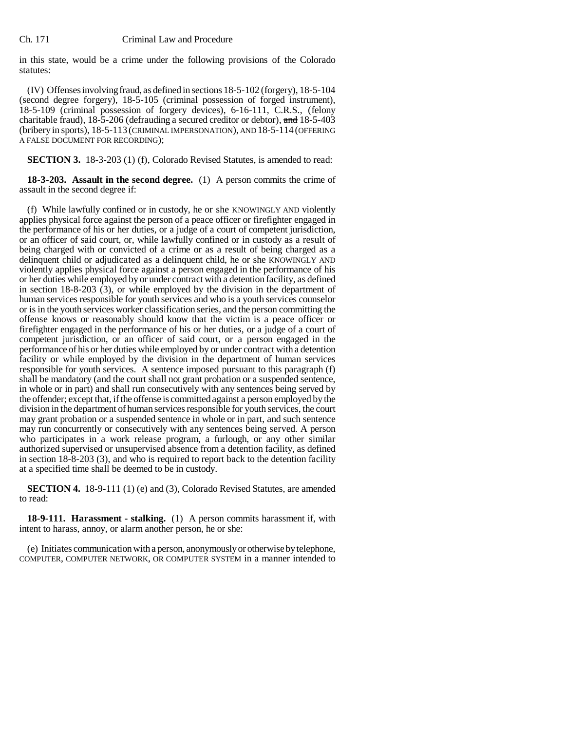in this state, would be a crime under the following provisions of the Colorado statutes:

(IV) Offenses involving fraud, as defined in sections 18-5-102 (forgery), 18-5-104 (second degree forgery), 18-5-105 (criminal possession of forged instrument), 18-5-109 (criminal possession of forgery devices), 6-16-111, C.R.S., (felony charitable fraud), 18-5-206 (defrauding a secured creditor or debtor), and 18-5-403 (bribery in sports), 18-5-113 (CRIMINAL IMPERSONATION), AND 18-5-114 (OFFERING A FALSE DOCUMENT FOR RECORDING);

**SECTION 3.** 18-3-203 (1) (f), Colorado Revised Statutes, is amended to read:

**18-3-203. Assault in the second degree.** (1) A person commits the crime of assault in the second degree if:

(f) While lawfully confined or in custody, he or she KNOWINGLY AND violently applies physical force against the person of a peace officer or firefighter engaged in the performance of his or her duties, or a judge of a court of competent jurisdiction, or an officer of said court, or, while lawfully confined or in custody as a result of being charged with or convicted of a crime or as a result of being charged as a delinquent child or adjudicated as a delinquent child, he or she KNOWINGLY AND violently applies physical force against a person engaged in the performance of his or her duties while employed by or under contract with a detention facility, as defined in section 18-8-203 (3), or while employed by the division in the department of human services responsible for youth services and who is a youth services counselor or is in the youth services worker classification series, and the person committing the offense knows or reasonably should know that the victim is a peace officer or firefighter engaged in the performance of his or her duties, or a judge of a court of competent jurisdiction, or an officer of said court, or a person engaged in the performance of his or her duties while employed by or under contract with a detention facility or while employed by the division in the department of human services responsible for youth services. A sentence imposed pursuant to this paragraph (f) shall be mandatory (and the court shall not grant probation or a suspended sentence, in whole or in part) and shall run consecutively with any sentences being served by the offender; except that, if the offense is committed against a person employed by the division in the department of human services responsible for youth services, the court may grant probation or a suspended sentence in whole or in part, and such sentence may run concurrently or consecutively with any sentences being served. A person who participates in a work release program, a furlough, or any other similar authorized supervised or unsupervised absence from a detention facility, as defined in section 18-8-203 (3), and who is required to report back to the detention facility at a specified time shall be deemed to be in custody.

**SECTION 4.** 18-9-111 (1) (e) and (3), Colorado Revised Statutes, are amended to read:

**18-9-111. Harassment - stalking.** (1) A person commits harassment if, with intent to harass, annoy, or alarm another person, he or she:

(e) Initiates communication with a person, anonymously or otherwise by telephone, COMPUTER, COMPUTER NETWORK, OR COMPUTER SYSTEM in a manner intended to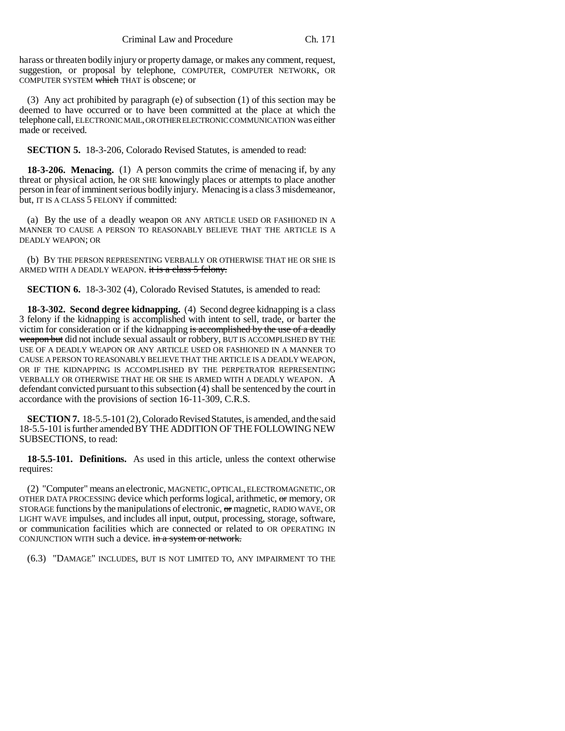harass or threaten bodily injury or property damage, or makes any comment, request, suggestion, or proposal by telephone, COMPUTER, COMPUTER NETWORK, OR COMPUTER SYSTEM which THAT is obscene; or

(3) Any act prohibited by paragraph (e) of subsection (1) of this section may be deemed to have occurred or to have been committed at the place at which the telephone call, ELECTRONIC MAIL, OR OTHER ELECTRONIC COMMUNICATION was either made or received.

**SECTION 5.** 18-3-206, Colorado Revised Statutes, is amended to read:

**18-3-206. Menacing.** (1) A person commits the crime of menacing if, by any threat or physical action, he OR SHE knowingly places or attempts to place another person in fear of imminent serious bodily injury. Menacing is a class 3 misdemeanor, but, IT IS A CLASS 5 FELONY if committed:

(a) By the use of a deadly weapon OR ANY ARTICLE USED OR FASHIONED IN A MANNER TO CAUSE A PERSON TO REASONABLY BELIEVE THAT THE ARTICLE IS A DEADLY WEAPON; OR

(b) BY THE PERSON REPRESENTING VERBALLY OR OTHERWISE THAT HE OR SHE IS ARMED WITH A DEADLY WEAPON. it is a class 5 felony.

**SECTION 6.** 18-3-302 (4), Colorado Revised Statutes, is amended to read:

**18-3-302. Second degree kidnapping.** (4) Second degree kidnapping is a class 3 felony if the kidnapping is accomplished with intent to sell, trade, or barter the victim for consideration or if the kidnapping is accomplished by the use of a deadly weapon but did not include sexual assault or robbery, BUT IS ACCOMPLISHED BY THE USE OF A DEADLY WEAPON OR ANY ARTICLE USED OR FASHIONED IN A MANNER TO CAUSE A PERSON TO REASONABLY BELIEVE THAT THE ARTICLE IS A DEADLY WEAPON, OR IF THE KIDNAPPING IS ACCOMPLISHED BY THE PERPETRATOR REPRESENTING VERBALLY OR OTHERWISE THAT HE OR SHE IS ARMED WITH A DEADLY WEAPON. A defendant convicted pursuant to this subsection (4) shall be sentenced by the court in accordance with the provisions of section 16-11-309, C.R.S.

**SECTION 7.** 18-5.5-101 (2), Colorado Revised Statutes, is amended, and the said 18-5.5-101 is further amended BY THE ADDITION OF THE FOLLOWING NEW SUBSECTIONS, to read:

**18-5.5-101. Definitions.** As used in this article, unless the context otherwise requires:

(2) "Computer" means an electronic, MAGNETIC, OPTICAL, ELECTROMAGNETIC, OR OTHER DATA PROCESSING device which performs logical, arithmetic, or memory, OR STORAGE functions by the manipulations of electronic,  $\sigma$  magnetic, RADIO WAVE, OR LIGHT WAVE impulses, and includes all input, output, processing, storage, software, or communication facilities which are connected or related to OR OPERATING IN CONJUNCTION WITH such a device. in a system or network.

(6.3) "DAMAGE" INCLUDES, BUT IS NOT LIMITED TO, ANY IMPAIRMENT TO THE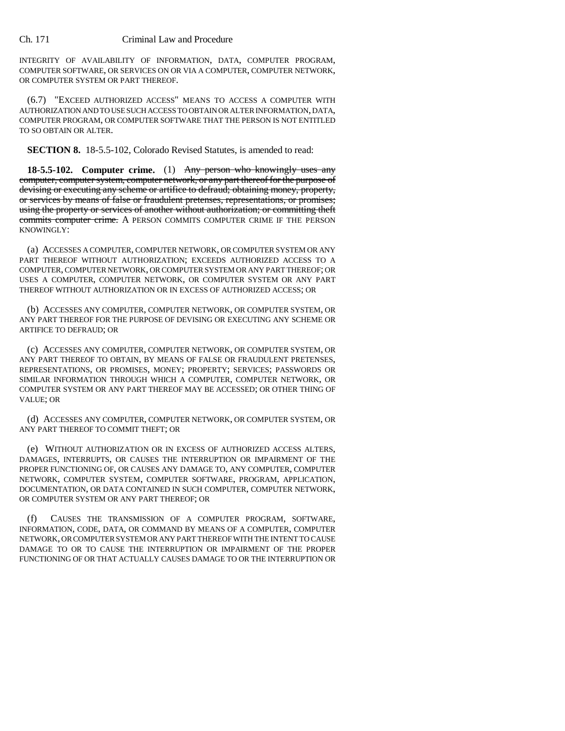INTEGRITY OF AVAILABILITY OF INFORMATION, DATA, COMPUTER PROGRAM, COMPUTER SOFTWARE, OR SERVICES ON OR VIA A COMPUTER, COMPUTER NETWORK, OR COMPUTER SYSTEM OR PART THEREOF.

(6.7) "EXCEED AUTHORIZED ACCESS" MEANS TO ACCESS A COMPUTER WITH AUTHORIZATION AND TO USE SUCH ACCESS TO OBTAIN OR ALTER INFORMATION, DATA, COMPUTER PROGRAM, OR COMPUTER SOFTWARE THAT THE PERSON IS NOT ENTITLED TO SO OBTAIN OR ALTER.

**SECTION 8.** 18-5.5-102, Colorado Revised Statutes, is amended to read:

**18-5.5-102. Computer crime.** (1) Any person who knowingly uses any computer, computer system, computer network, or any part thereof for the purpose of devising or executing any scheme or artifice to defraud; obtaining money, property, or services by means of false or fraudulent pretenses, representations, or promises; using the property or services of another without authorization; or committing theft commits computer crime. A PERSON COMMITS COMPUTER CRIME IF THE PERSON KNOWINGLY:

(a) ACCESSES A COMPUTER, COMPUTER NETWORK, OR COMPUTER SYSTEM OR ANY PART THEREOF WITHOUT AUTHORIZATION; EXCEEDS AUTHORIZED ACCESS TO A COMPUTER, COMPUTER NETWORK, OR COMPUTER SYSTEM OR ANY PART THEREOF; OR USES A COMPUTER, COMPUTER NETWORK, OR COMPUTER SYSTEM OR ANY PART THEREOF WITHOUT AUTHORIZATION OR IN EXCESS OF AUTHORIZED ACCESS; OR

(b) ACCESSES ANY COMPUTER, COMPUTER NETWORK, OR COMPUTER SYSTEM, OR ANY PART THEREOF FOR THE PURPOSE OF DEVISING OR EXECUTING ANY SCHEME OR ARTIFICE TO DEFRAUD; OR

(c) ACCESSES ANY COMPUTER, COMPUTER NETWORK, OR COMPUTER SYSTEM, OR ANY PART THEREOF TO OBTAIN, BY MEANS OF FALSE OR FRAUDULENT PRETENSES, REPRESENTATIONS, OR PROMISES, MONEY; PROPERTY; SERVICES; PASSWORDS OR SIMILAR INFORMATION THROUGH WHICH A COMPUTER, COMPUTER NETWORK, OR COMPUTER SYSTEM OR ANY PART THEREOF MAY BE ACCESSED; OR OTHER THING OF VALUE; OR

(d) ACCESSES ANY COMPUTER, COMPUTER NETWORK, OR COMPUTER SYSTEM, OR ANY PART THEREOF TO COMMIT THEFT; OR

(e) WITHOUT AUTHORIZATION OR IN EXCESS OF AUTHORIZED ACCESS ALTERS, DAMAGES, INTERRUPTS, OR CAUSES THE INTERRUPTION OR IMPAIRMENT OF THE PROPER FUNCTIONING OF, OR CAUSES ANY DAMAGE TO, ANY COMPUTER, COMPUTER NETWORK, COMPUTER SYSTEM, COMPUTER SOFTWARE, PROGRAM, APPLICATION, DOCUMENTATION, OR DATA CONTAINED IN SUCH COMPUTER, COMPUTER NETWORK, OR COMPUTER SYSTEM OR ANY PART THEREOF; OR

CAUSES THE TRANSMISSION OF A COMPUTER PROGRAM, SOFTWARE, INFORMATION, CODE, DATA, OR COMMAND BY MEANS OF A COMPUTER, COMPUTER NETWORK, OR COMPUTER SYSTEM OR ANY PART THEREOF WITH THE INTENT TO CAUSE DAMAGE TO OR TO CAUSE THE INTERRUPTION OR IMPAIRMENT OF THE PROPER FUNCTIONING OF OR THAT ACTUALLY CAUSES DAMAGE TO OR THE INTERRUPTION OR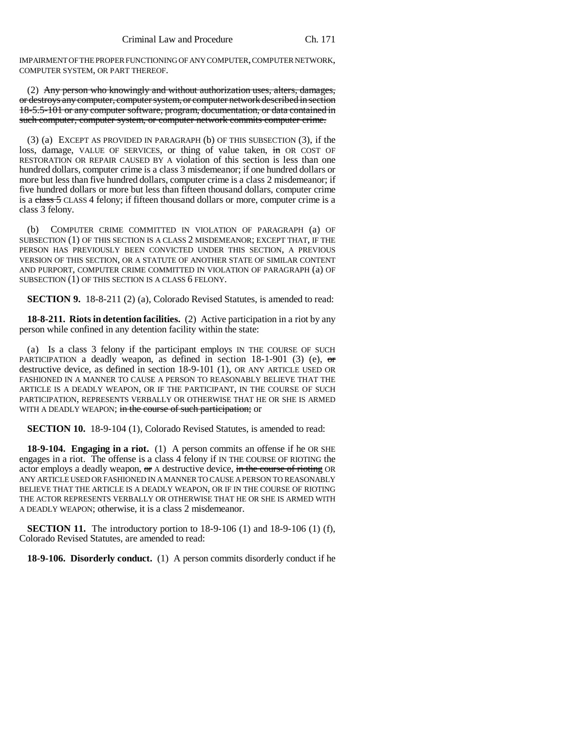IMPAIRMENT OF THE PROPER FUNCTIONING OF ANY COMPUTER, COMPUTER NETWORK, COMPUTER SYSTEM, OR PART THEREOF.

(2) Any person who knowingly and without authorization uses, alters, damages, or destroys any computer, computer system, or computer network described in section 18-5.5-101 or any computer software, program, documentation, or data contained in such computer, computer system, or computer network commits computer crime.

(3) (a) EXCEPT AS PROVIDED IN PARAGRAPH (b) OF THIS SUBSECTION (3), if the loss, damage, VALUE OF SERVICES, or thing of value taken, in OR COST OF RESTORATION OR REPAIR CAUSED BY A violation of this section is less than one hundred dollars, computer crime is a class 3 misdemeanor; if one hundred dollars or more but less than five hundred dollars, computer crime is a class 2 misdemeanor; if five hundred dollars or more but less than fifteen thousand dollars, computer crime is a class 5 CLASS 4 felony; if fifteen thousand dollars or more, computer crime is a class 3 felony.

(b) COMPUTER CRIME COMMITTED IN VIOLATION OF PARAGRAPH (a) OF SUBSECTION (1) OF THIS SECTION IS A CLASS 2 MISDEMEANOR; EXCEPT THAT, IF THE PERSON HAS PREVIOUSLY BEEN CONVICTED UNDER THIS SECTION, A PREVIOUS VERSION OF THIS SECTION, OR A STATUTE OF ANOTHER STATE OF SIMILAR CONTENT AND PURPORT, COMPUTER CRIME COMMITTED IN VIOLATION OF PARAGRAPH (a) OF SUBSECTION (1) OF THIS SECTION IS A CLASS 6 FELONY.

**SECTION 9.** 18-8-211 (2) (a), Colorado Revised Statutes, is amended to read:

**18-8-211. Riots in detention facilities.** (2) Active participation in a riot by any person while confined in any detention facility within the state:

(a) Is a class 3 felony if the participant employs IN THE COURSE OF SUCH PARTICIPATION a deadly weapon, as defined in section  $18-1-901$  (3) (e), or destructive device, as defined in section 18-9-101 (1), OR ANY ARTICLE USED OR FASHIONED IN A MANNER TO CAUSE A PERSON TO REASONABLY BELIEVE THAT THE ARTICLE IS A DEADLY WEAPON, OR IF THE PARTICIPANT, IN THE COURSE OF SUCH PARTICIPATION, REPRESENTS VERBALLY OR OTHERWISE THAT HE OR SHE IS ARMED WITH A DEADLY WEAPON; in the course of such participation; or

**SECTION 10.** 18-9-104 (1), Colorado Revised Statutes, is amended to read:

**18-9-104. Engaging in a riot.** (1) A person commits an offense if he OR SHE engages in a riot. The offense is a class 4 felony if IN THE COURSE OF RIOTING the actor employs a deadly weapon, or A destructive device, in the course of rioting OR ANY ARTICLE USED OR FASHIONED IN A MANNER TO CAUSE A PERSON TO REASONABLY BELIEVE THAT THE ARTICLE IS A DEADLY WEAPON, OR IF IN THE COURSE OF RIOTING THE ACTOR REPRESENTS VERBALLY OR OTHERWISE THAT HE OR SHE IS ARMED WITH A DEADLY WEAPON; otherwise, it is a class 2 misdemeanor.

**SECTION 11.** The introductory portion to 18-9-106 (1) and 18-9-106 (1) (f), Colorado Revised Statutes, are amended to read:

**18-9-106. Disorderly conduct.** (1) A person commits disorderly conduct if he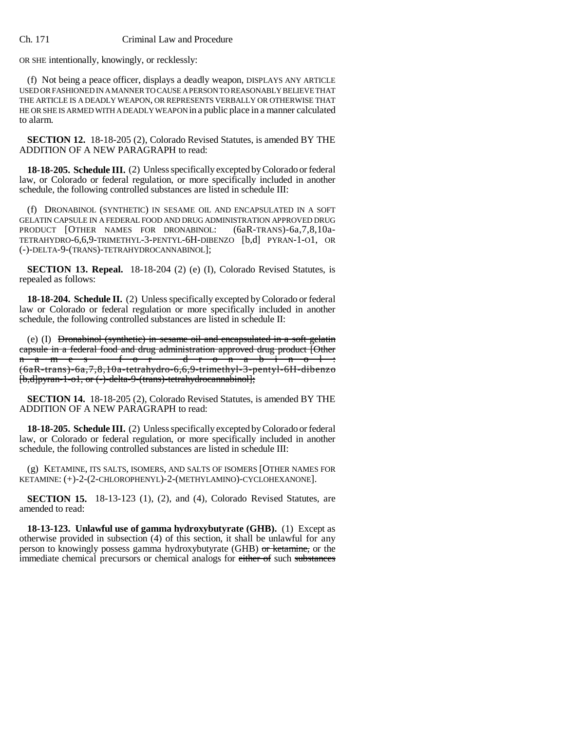OR SHE intentionally, knowingly, or recklessly:

(f) Not being a peace officer, displays a deadly weapon, DISPLAYS ANY ARTICLE USED OR FASHIONED IN A MANNER TO CAUSE A PERSON TO REASONABLY BELIEVE THAT THE ARTICLE IS A DEADLY WEAPON, OR REPRESENTS VERBALLY OR OTHERWISE THAT HE OR SHE IS ARMED WITH A DEADLY WEAPON in a public place in a manner calculated to alarm.

**SECTION 12.** 18-18-205 (2), Colorado Revised Statutes, is amended BY THE ADDITION OF A NEW PARAGRAPH to read:

**18-18-205. Schedule III.** (2) Unless specifically excepted by Colorado or federal law, or Colorado or federal regulation, or more specifically included in another schedule, the following controlled substances are listed in schedule III:

(f) DRONABINOL (SYNTHETIC) IN SESAME OIL AND ENCAPSULATED IN A SOFT GELATIN CAPSULE IN A FEDERAL FOOD AND DRUG ADMINISTRATION APPROVED DRUG PRODUCT [OTHER NAMES FOR DRONABINOL: (6aR-TRANS)-6a,7,8,10a-TETRAHYDRO-6,6,9-TRIMETHYL-3-PENTYL-6H-DIBENZO [b,d] PYRAN-1-O1, OR (-)-DELTA-9-(TRANS)-TETRAHYDROCANNABINOL];

**SECTION 13. Repeal.** 18-18-204 (2) (e) (I), Colorado Revised Statutes, is repealed as follows:

**18-18-204. Schedule II.** (2) Unless specifically excepted by Colorado or federal law or Colorado or federal regulation or more specifically included in another schedule, the following controlled substances are listed in schedule II:

(e) (I) Dronabinol (synthetic) in sesame oil and encapsulated in a soft gelatin eapsule in a federal food and drug administration approved drug product [Other<br>n a m e s f o r d r o n a b i n o l :  $-$ dronabinol: (6aR-trans)-6a,7,8,10a-tetrahydro-6,6,9-trimethyl-3-pentyl-6H-dibenzo [b,d]pyran-1-o1, or (-)-delta-9-(trans)-tetrahydrocannabinol];

**SECTION 14.** 18-18-205 (2), Colorado Revised Statutes, is amended BY THE ADDITION OF A NEW PARAGRAPH to read:

**18-18-205. Schedule III.** (2) Unless specifically excepted by Colorado or federal law, or Colorado or federal regulation, or more specifically included in another schedule, the following controlled substances are listed in schedule III:

(g) KETAMINE, ITS SALTS, ISOMERS, AND SALTS OF ISOMERS [OTHER NAMES FOR KETAMINE: (+)-2-(2-CHLOROPHENYL)-2-(METHYLAMINO)-CYCLOHEXANONE].

**SECTION 15.** 18-13-123 (1), (2), and (4), Colorado Revised Statutes, are amended to read:

**18-13-123. Unlawful use of gamma hydroxybutyrate (GHB).** (1) Except as otherwise provided in subsection (4) of this section, it shall be unlawful for any person to knowingly possess gamma hydroxybutyrate (GHB) or ketamine, or the immediate chemical precursors or chemical analogs for either of such substances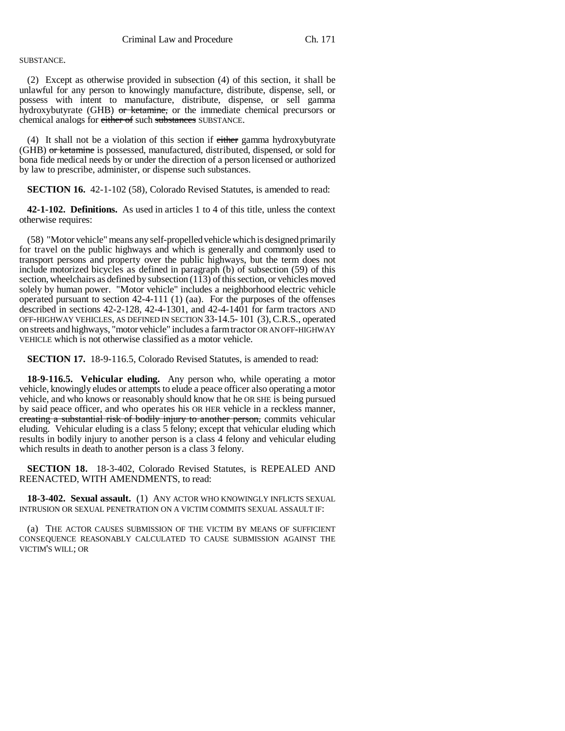# SUBSTANCE.

(2) Except as otherwise provided in subsection (4) of this section, it shall be unlawful for any person to knowingly manufacture, distribute, dispense, sell, or possess with intent to manufacture, distribute, dispense, or sell gamma hydroxybutyrate (GHB) or ketamine, or the immediate chemical precursors or chemical analogs for either of such substances SUBSTANCE.

(4) It shall not be a violation of this section if either gamma hydroxybutyrate (GHB) or ketamine is possessed, manufactured, distributed, dispensed, or sold for bona fide medical needs by or under the direction of a person licensed or authorized by law to prescribe, administer, or dispense such substances.

**SECTION 16.** 42-1-102 (58), Colorado Revised Statutes, is amended to read:

**42-1-102. Definitions.** As used in articles 1 to 4 of this title, unless the context otherwise requires:

(58) "Motor vehicle" means any self-propelled vehicle which is designed primarily for travel on the public highways and which is generally and commonly used to transport persons and property over the public highways, but the term does not include motorized bicycles as defined in paragraph (b) of subsection (59) of this section, wheelchairs as defined by subsection (113) of this section, or vehicles moved solely by human power. "Motor vehicle" includes a neighborhood electric vehicle operated pursuant to section 42-4-111 (1) (aa). For the purposes of the offenses described in sections 42-2-128, 42-4-1301, and 42-4-1401 for farm tractors AND OFF-HIGHWAY VEHICLES, AS DEFINED IN SECTION 33-14.5- 101 (3),C.R.S., operated on streets and highways, "motor vehicle" includes a farm tractor OR AN OFF-HIGHWAY VEHICLE which is not otherwise classified as a motor vehicle.

**SECTION 17.** 18-9-116.5, Colorado Revised Statutes, is amended to read:

**18-9-116.5. Vehicular eluding.** Any person who, while operating a motor vehicle, knowingly eludes or attempts to elude a peace officer also operating a motor vehicle, and who knows or reasonably should know that he OR SHE is being pursued by said peace officer, and who operates his OR HER vehicle in a reckless manner, creating a substantial risk of bodily injury to another person, commits vehicular eluding. Vehicular eluding is a class 5 felony; except that vehicular eluding which results in bodily injury to another person is a class 4 felony and vehicular eluding which results in death to another person is a class 3 felony.

**SECTION 18.** 18-3-402, Colorado Revised Statutes, is REPEALED AND REENACTED, WITH AMENDMENTS, to read:

**18-3-402. Sexual assault.** (1) ANY ACTOR WHO KNOWINGLY INFLICTS SEXUAL INTRUSION OR SEXUAL PENETRATION ON A VICTIM COMMITS SEXUAL ASSAULT IF:

(a) THE ACTOR CAUSES SUBMISSION OF THE VICTIM BY MEANS OF SUFFICIENT CONSEQUENCE REASONABLY CALCULATED TO CAUSE SUBMISSION AGAINST THE VICTIM'S WILL; OR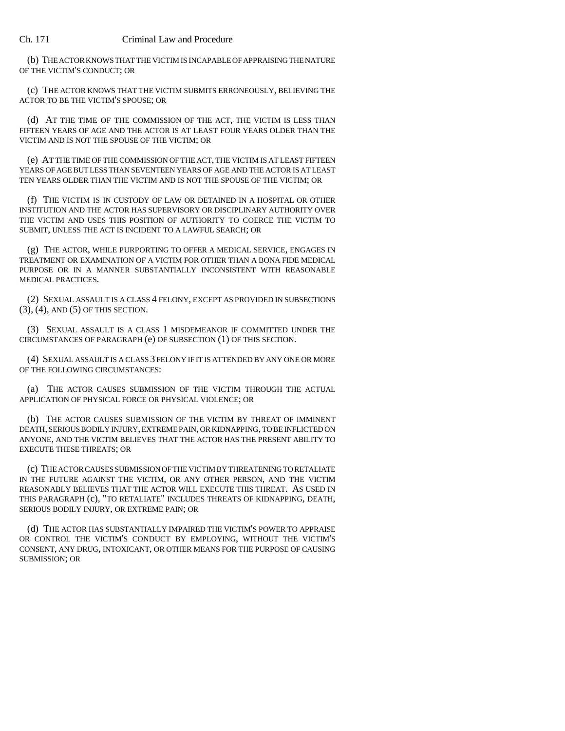(b) THE ACTOR KNOWS THAT THE VICTIM IS INCAPABLE OF APPRAISING THE NATURE OF THE VICTIM'S CONDUCT; OR

(c) THE ACTOR KNOWS THAT THE VICTIM SUBMITS ERRONEOUSLY, BELIEVING THE ACTOR TO BE THE VICTIM'S SPOUSE; OR

(d) AT THE TIME OF THE COMMISSION OF THE ACT, THE VICTIM IS LESS THAN FIFTEEN YEARS OF AGE AND THE ACTOR IS AT LEAST FOUR YEARS OLDER THAN THE VICTIM AND IS NOT THE SPOUSE OF THE VICTIM; OR

(e) AT THE TIME OF THE COMMISSION OF THE ACT, THE VICTIM IS AT LEAST FIFTEEN YEARS OF AGE BUT LESS THAN SEVENTEEN YEARS OF AGE AND THE ACTOR IS AT LEAST TEN YEARS OLDER THAN THE VICTIM AND IS NOT THE SPOUSE OF THE VICTIM; OR

(f) THE VICTIM IS IN CUSTODY OF LAW OR DETAINED IN A HOSPITAL OR OTHER INSTITUTION AND THE ACTOR HAS SUPERVISORY OR DISCIPLINARY AUTHORITY OVER THE VICTIM AND USES THIS POSITION OF AUTHORITY TO COERCE THE VICTIM TO SUBMIT, UNLESS THE ACT IS INCIDENT TO A LAWFUL SEARCH; OR

(g) THE ACTOR, WHILE PURPORTING TO OFFER A MEDICAL SERVICE, ENGAGES IN TREATMENT OR EXAMINATION OF A VICTIM FOR OTHER THAN A BONA FIDE MEDICAL PURPOSE OR IN A MANNER SUBSTANTIALLY INCONSISTENT WITH REASONABLE MEDICAL PRACTICES.

(2) SEXUAL ASSAULT IS A CLASS 4 FELONY, EXCEPT AS PROVIDED IN SUBSECTIONS (3), (4), AND (5) OF THIS SECTION.

(3) SEXUAL ASSAULT IS A CLASS 1 MISDEMEANOR IF COMMITTED UNDER THE CIRCUMSTANCES OF PARAGRAPH (e) OF SUBSECTION (1) OF THIS SECTION.

(4) SEXUAL ASSAULT IS A CLASS 3 FELONY IF IT IS ATTENDED BY ANY ONE OR MORE OF THE FOLLOWING CIRCUMSTANCES:

(a) THE ACTOR CAUSES SUBMISSION OF THE VICTIM THROUGH THE ACTUAL APPLICATION OF PHYSICAL FORCE OR PHYSICAL VIOLENCE; OR

(b) THE ACTOR CAUSES SUBMISSION OF THE VICTIM BY THREAT OF IMMINENT DEATH, SERIOUS BODILY INJURY, EXTREME PAIN, OR KIDNAPPING, TO BE INFLICTED ON ANYONE, AND THE VICTIM BELIEVES THAT THE ACTOR HAS THE PRESENT ABILITY TO EXECUTE THESE THREATS; OR

(c) THE ACTOR CAUSES SUBMISSION OF THE VICTIM BY THREATENING TO RETALIATE IN THE FUTURE AGAINST THE VICTIM, OR ANY OTHER PERSON, AND THE VICTIM REASONABLY BELIEVES THAT THE ACTOR WILL EXECUTE THIS THREAT. AS USED IN THIS PARAGRAPH (c), "TO RETALIATE" INCLUDES THREATS OF KIDNAPPING, DEATH, SERIOUS BODILY INJURY, OR EXTREME PAIN; OR

(d) THE ACTOR HAS SUBSTANTIALLY IMPAIRED THE VICTIM'S POWER TO APPRAISE OR CONTROL THE VICTIM'S CONDUCT BY EMPLOYING, WITHOUT THE VICTIM'S CONSENT, ANY DRUG, INTOXICANT, OR OTHER MEANS FOR THE PURPOSE OF CAUSING SUBMISSION; OR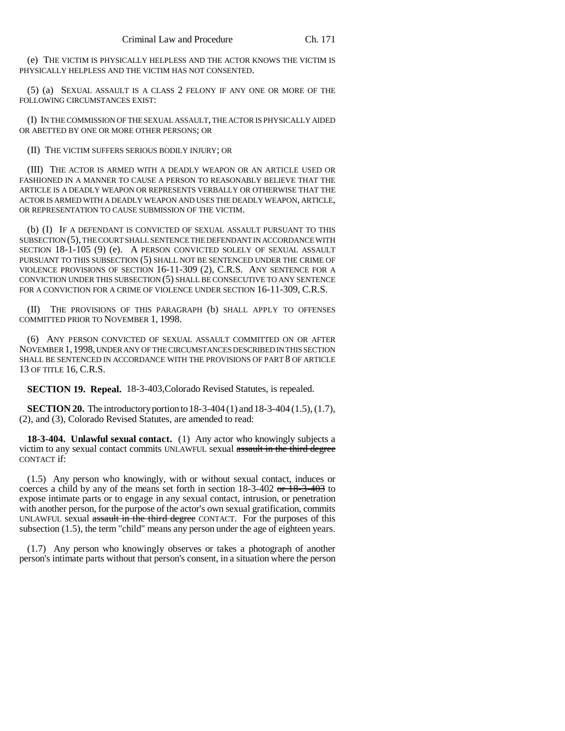(e) THE VICTIM IS PHYSICALLY HELPLESS AND THE ACTOR KNOWS THE VICTIM IS PHYSICALLY HELPLESS AND THE VICTIM HAS NOT CONSENTED.

(5) (a) SEXUAL ASSAULT IS A CLASS 2 FELONY IF ANY ONE OR MORE OF THE FOLLOWING CIRCUMSTANCES EXIST:

(I) IN THE COMMISSION OF THE SEXUAL ASSAULT, THE ACTOR IS PHYSICALLY AIDED OR ABETTED BY ONE OR MORE OTHER PERSONS; OR

(II) THE VICTIM SUFFERS SERIOUS BODILY INJURY; OR

(III) THE ACTOR IS ARMED WITH A DEADLY WEAPON OR AN ARTICLE USED OR FASHIONED IN A MANNER TO CAUSE A PERSON TO REASONABLY BELIEVE THAT THE ARTICLE IS A DEADLY WEAPON OR REPRESENTS VERBALLY OR OTHERWISE THAT THE ACTOR IS ARMED WITH A DEADLY WEAPON AND USES THE DEADLY WEAPON, ARTICLE, OR REPRESENTATION TO CAUSE SUBMISSION OF THE VICTIM.

(b) (I) IF A DEFENDANT IS CONVICTED OF SEXUAL ASSAULT PURSUANT TO THIS SUBSECTION (5), THE COURT SHALL SENTENCE THE DEFENDANT IN ACCORDANCE WITH SECTION 18-1-105 (9) (e). A PERSON CONVICTED SOLELY OF SEXUAL ASSAULT PURSUANT TO THIS SUBSECTION (5) SHALL NOT BE SENTENCED UNDER THE CRIME OF VIOLENCE PROVISIONS OF SECTION 16-11-309 (2), C.R.S. ANY SENTENCE FOR A CONVICTION UNDER THIS SUBSECTION (5) SHALL BE CONSECUTIVE TO ANY SENTENCE FOR A CONVICTION FOR A CRIME OF VIOLENCE UNDER SECTION 16-11-309, C.R.S.

(II) THE PROVISIONS OF THIS PARAGRAPH (b) SHALL APPLY TO OFFENSES COMMITTED PRIOR TO NOVEMBER 1, 1998.

(6) ANY PERSON CONVICTED OF SEXUAL ASSAULT COMMITTED ON OR AFTER NOVEMBER 1,1998, UNDER ANY OF THE CIRCUMSTANCES DESCRIBED IN THIS SECTION SHALL BE SENTENCED IN ACCORDANCE WITH THE PROVISIONS OF PART 8 OF ARTICLE 13 OF TITLE 16, C.R.S.

**SECTION 19. Repeal.** 18-3-403,Colorado Revised Statutes, is repealed.

**SECTION 20.** The introductory portion to 18-3-404 (1) and 18-3-404 (1.5), (1.7), (2), and (3), Colorado Revised Statutes, are amended to read:

**18-3-404. Unlawful sexual contact.** (1) Any actor who knowingly subjects a victim to any sexual contact commits UNLAWFUL sexual assault in the third degree CONTACT if:

(1.5) Any person who knowingly, with or without sexual contact, induces or coerces a child by any of the means set forth in section 18-3-402 or 18-3-403 to expose intimate parts or to engage in any sexual contact, intrusion, or penetration with another person, for the purpose of the actor's own sexual gratification, commits UNLAWFUL sexual assault in the third degree CONTACT. For the purposes of this subsection (1.5), the term "child" means any person under the age of eighteen years.

(1.7) Any person who knowingly observes or takes a photograph of another person's intimate parts without that person's consent, in a situation where the person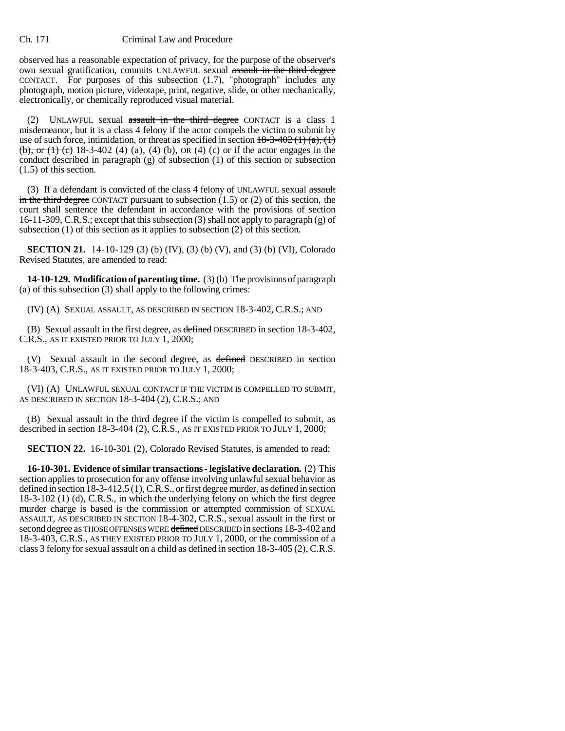observed has a reasonable expectation of privacy, for the purpose of the observer's own sexual gratification, commits UNLAWFUL sexual assault in the third degree CONTACT. For purposes of this subsection (1.7), "photograph" includes any photograph, motion picture, videotape, print, negative, slide, or other mechanically, electronically, or chemically reproduced visual material.

(2) UNLAWFUL sexual assault in the third degree CONTACT is a class 1 misdemeanor, but it is a class 4 felony if the actor compels the victim to submit by use of such force, intimidation, or threat as specified in section  $18-3-402(1)(a)$ ,  $(1)$ (b), or (1) (c) 18-3-402 (4) (a), (4) (b), OR (4) (c) or if the actor engages in the conduct described in paragraph (g) of subsection (1) of this section or subsection (1.5) of this section.

(3) If a defendant is convicted of the class 4 felony of UNLAWFUL sexual  $\frac{1}{\text{assault}}$ in the third degree CONTACT pursuant to subsection  $(1.5)$  or  $(2)$  of this section, the court shall sentence the defendant in accordance with the provisions of section 16-11-309, C.R.S.; except that this subsection (3) shall not apply to paragraph (g) of subsection (1) of this section as it applies to subsection (2) of this section.

**SECTION 21.** 14-10-129 (3) (b) (IV), (3) (b) (V), and (3) (b) (VI), Colorado Revised Statutes, are amended to read:

**14-10-129. Modification of parenting time.** (3) (b) The provisions of paragraph (a) of this subsection (3) shall apply to the following crimes:

(IV) (A) SEXUAL ASSAULT, AS DESCRIBED IN SECTION 18-3-402, C.R.S.; AND

(B) Sexual assault in the first degree, as defined DESCRIBED in section 18-3-402, C.R.S., AS IT EXISTED PRIOR TO JULY 1, 2000;

(V) Sexual assault in the second degree, as defined DESCRIBED in section 18-3-403, C.R.S., AS IT EXISTED PRIOR TO JULY 1, 2000;

(VI) (A) UNLAWFUL SEXUAL CONTACT IF THE VICTIM IS COMPELLED TO SUBMIT, AS DESCRIBED IN SECTION 18-3-404 (2), C.R.S.; AND

(B) Sexual assault in the third degree if the victim is compelled to submit, as described in section 18-3-404 (2), C.R.S., AS IT EXISTED PRIOR TO JULY 1, 2000;

**SECTION 22.** 16-10-301 (2), Colorado Revised Statutes, is amended to read:

**16-10-301. Evidence of similar transactions - legislative declaration.** (2) This section applies to prosecution for any offense involving unlawful sexual behavior as defined in section 18-3-412.5 (1), C.R.S., or first degree murder, as defined in section 18-3-102 (1) (d), C.R.S., in which the underlying felony on which the first degree murder charge is based is the commission or attempted commission of SEXUAL ASSAULT, AS DESCRIBED IN SECTION 18-4-302, C.R.S., sexual assault in the first or second degree as THOSE OFFENSES WERE defined DESCRIBED in sections 18-3-402 and 18-3-403, C.R.S., AS THEY EXISTED PRIOR TO JULY 1, 2000, or the commission of a class 3 felony for sexual assault on a child as defined in section 18-3-405 (2), C.R.S.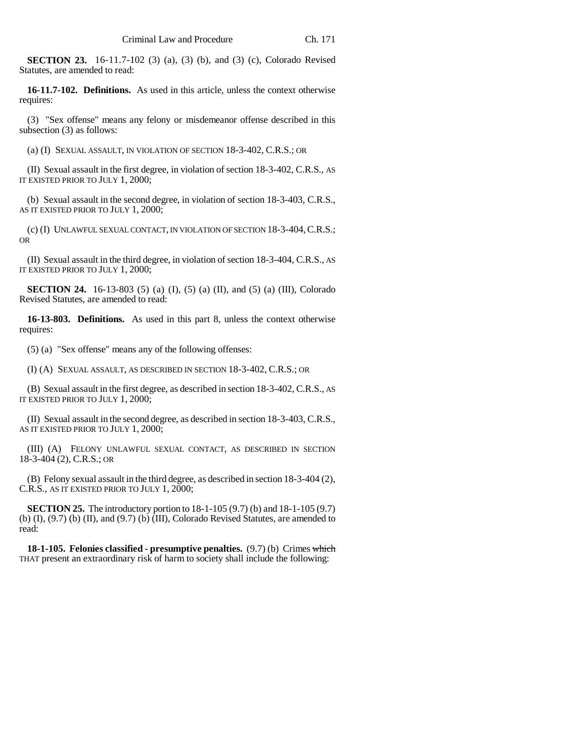**SECTION 23.** 16-11.7-102 (3) (a), (3) (b), and (3) (c), Colorado Revised Statutes, are amended to read:

**16-11.7-102. Definitions.** As used in this article, unless the context otherwise requires:

(3) "Sex offense" means any felony or misdemeanor offense described in this subsection (3) as follows:

(a) (I) SEXUAL ASSAULT, IN VIOLATION OF SECTION 18-3-402, C.R.S.; OR

(II) Sexual assault in the first degree, in violation of section 18-3-402, C.R.S., AS IT EXISTED PRIOR TO JULY 1, 2000;

(b) Sexual assault in the second degree, in violation of section 18-3-403, C.R.S., AS IT EXISTED PRIOR TO JULY 1, 2000;

(c) (I) UNLAWFUL SEXUAL CONTACT, IN VIOLATION OF SECTION 18-3-404,C.R.S.; OR

(II) Sexual assault in the third degree, in violation of section 18-3-404, C.R.S., AS IT EXISTED PRIOR TO JULY 1, 2000;

**SECTION 24.** 16-13-803 (5) (a) (I), (5) (a) (II), and (5) (a) (III), Colorado Revised Statutes, are amended to read:

**16-13-803. Definitions.** As used in this part 8, unless the context otherwise requires:

(5) (a) "Sex offense" means any of the following offenses:

(I) (A) SEXUAL ASSAULT, AS DESCRIBED IN SECTION 18-3-402, C.R.S.; OR

(B) Sexual assault in the first degree, as described in section 18-3-402, C.R.S., AS IT EXISTED PRIOR TO JULY 1, 2000;

(II) Sexual assault in the second degree, as described in section 18-3-403, C.R.S., AS IT EXISTED PRIOR TO JULY 1, 2000;

(III) (A) FELONY UNLAWFUL SEXUAL CONTACT, AS DESCRIBED IN SECTION 18-3-404 (2), C.R.S.; OR

(B) Felony sexual assault in the third degree, as described in section 18-3-404 (2), C.R.S., AS IT EXISTED PRIOR TO JULY 1, 2000;

**SECTION 25.** The introductory portion to 18-1-105 (9.7) (b) and 18-1-105 (9.7) (b)  $(I)$ ,  $(9.7)$  (b)  $(II)$ , and  $(9.7)$  (b)  $(III)$ , Colorado Revised Statutes, are amended to read:

**18-1-105. Felonies classified - presumptive penalties.** (9.7) (b) Crimes which THAT present an extraordinary risk of harm to society shall include the following: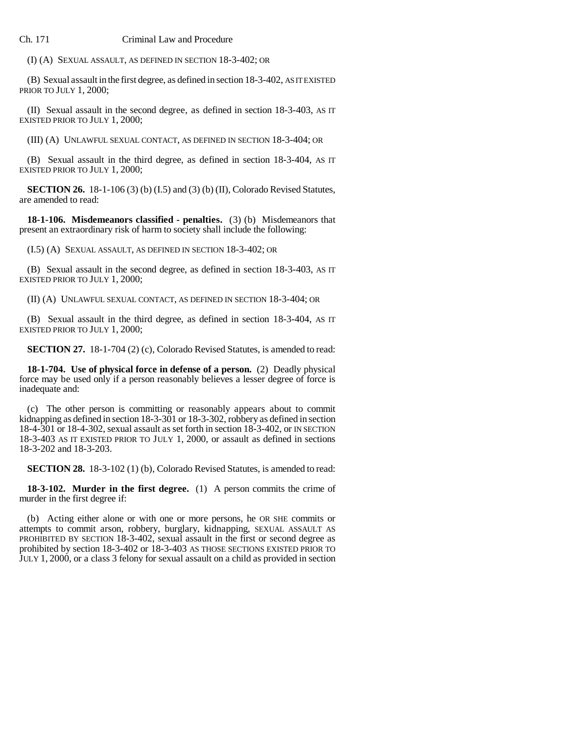(I) (A) SEXUAL ASSAULT, AS DEFINED IN SECTION 18-3-402; OR

(B) Sexual assault in the first degree, as defined in section 18-3-402, AS IT EXISTED PRIOR TO JULY 1, 2000;

(II) Sexual assault in the second degree, as defined in section 18-3-403, AS IT EXISTED PRIOR TO JULY 1, 2000;

(III) (A) UNLAWFUL SEXUAL CONTACT, AS DEFINED IN SECTION 18-3-404; OR

(B) Sexual assault in the third degree, as defined in section 18-3-404, AS IT EXISTED PRIOR TO JULY 1, 2000;

**SECTION 26.** 18-1-106 (3) (b) (I.5) and (3) (b) (II), Colorado Revised Statutes, are amended to read:

**18-1-106. Misdemeanors classified - penalties.** (3) (b) Misdemeanors that present an extraordinary risk of harm to society shall include the following:

(I.5) (A) SEXUAL ASSAULT, AS DEFINED IN SECTION 18-3-402; OR

(B) Sexual assault in the second degree, as defined in section 18-3-403, AS IT EXISTED PRIOR TO JULY 1, 2000;

(II) (A) UNLAWFUL SEXUAL CONTACT, AS DEFINED IN SECTION 18-3-404; OR

(B) Sexual assault in the third degree, as defined in section 18-3-404, AS IT EXISTED PRIOR TO JULY 1, 2000;

**SECTION 27.** 18-1-704 (2) (c), Colorado Revised Statutes, is amended to read:

**18-1-704. Use of physical force in defense of a person.** (2) Deadly physical force may be used only if a person reasonably believes a lesser degree of force is inadequate and:

(c) The other person is committing or reasonably appears about to commit kidnapping as defined in section 18-3-301 or 18-3-302, robbery as defined in section 18-4-301 or 18-4-302, sexual assault as set forth in section 18-3-402, or IN SECTION 18-3-403 AS IT EXISTED PRIOR TO JULY 1, 2000, or assault as defined in sections 18-3-202 and 18-3-203.

**SECTION 28.** 18-3-102 (1) (b), Colorado Revised Statutes, is amended to read:

**18-3-102. Murder in the first degree.** (1) A person commits the crime of murder in the first degree if:

(b) Acting either alone or with one or more persons, he OR SHE commits or attempts to commit arson, robbery, burglary, kidnapping, SEXUAL ASSAULT AS PROHIBITED BY SECTION 18-3-402, sexual assault in the first or second degree as prohibited by section 18-3-402 or 18-3-403 AS THOSE SECTIONS EXISTED PRIOR TO JULY 1, 2000, or a class 3 felony for sexual assault on a child as provided in section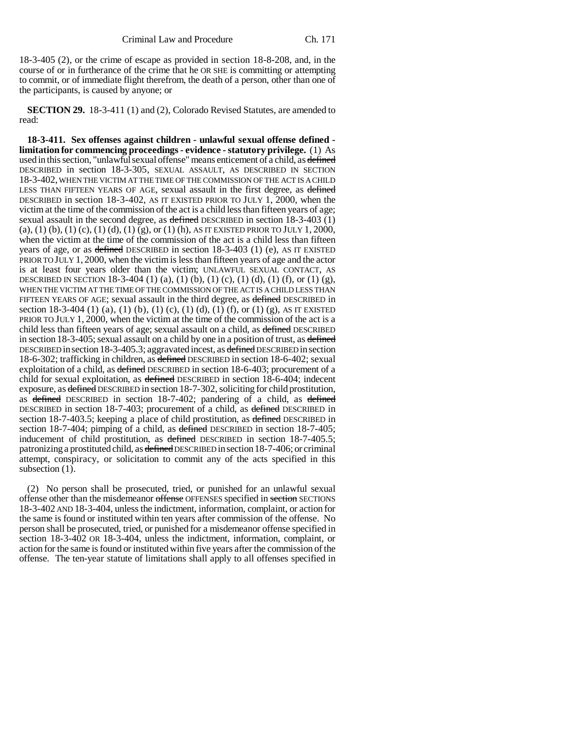18-3-405 (2), or the crime of escape as provided in section 18-8-208, and, in the course of or in furtherance of the crime that he OR SHE is committing or attempting to commit, or of immediate flight therefrom, the death of a person, other than one of the participants, is caused by anyone; or

**SECTION 29.** 18-3-411 (1) and (2), Colorado Revised Statutes, are amended to read:

**18-3-411. Sex offenses against children - unlawful sexual offense defined limitation for commencing proceedings - evidence - statutory privilege.** (1) As used in this section, "unlawful sexual offense" means enticement of a child, as defined DESCRIBED in section 18-3-305, SEXUAL ASSAULT, AS DESCRIBED IN SECTION 18-3-402, WHEN THE VICTIM AT THE TIME OF THE COMMISSION OF THE ACT IS A CHILD LESS THAN FIFTEEN YEARS OF AGE, sexual assault in the first degree, as defined DESCRIBED in section 18-3-402, AS IT EXISTED PRIOR TO JULY 1, 2000, when the victim at the time of the commission of the act is a child less than fifteen years of age; sexual assault in the second degree, as defined DESCRIBED in section 18-3-403 (1) (a), (1) (b), (1) (c), (1) (d), (1) (g), or (1) (h), AS IT EXISTED PRIOR TO JULY 1, 2000, when the victim at the time of the commission of the act is a child less than fifteen years of age, or as defined DESCRIBED in section  $18-3-403$  (1) (e), AS IT EXISTED PRIOR TO JULY 1, 2000, when the victim is less than fifteen years of age and the actor is at least four years older than the victim; UNLAWFUL SEXUAL CONTACT, AS DESCRIBED IN SECTION 18-3-404 (1) (a), (1) (b), (1) (c), (1) (d), (1) (f), or (1) (g), WHEN THE VICTIM AT THE TIME OF THE COMMISSION OF THE ACT IS A CHILD LESS THAN FIFTEEN YEARS OF AGE; sexual assault in the third degree, as defined DESCRIBED in section 18-3-404 (1) (a), (1) (b), (1) (c), (1) (d), (1) (f), or (1) (g), AS IT EXISTED PRIOR TO JULY 1, 2000, when the victim at the time of the commission of the act is a child less than fifteen years of age; sexual assault on a child, as defined DESCRIBED in section 18-3-405; sexual assault on a child by one in a position of trust, as defined DESCRIBED in section 18-3-405.3; aggravated incest, as defined DESCRIBED in section 18-6-302; trafficking in children, as defined DESCRIBED in section 18-6-402; sexual exploitation of a child, as defined DESCRIBED in section 18-6-403; procurement of a child for sexual exploitation, as defined DESCRIBED in section 18-6-404; indecent exposure, as defined DESCRIBED in section 18-7-302, soliciting for child prostitution, as defined DESCRIBED in section 18-7-402; pandering of a child, as defined DESCRIBED in section 18-7-403; procurement of a child, as defined DESCRIBED in section 18-7-403.5; keeping a place of child prostitution, as defined DESCRIBED in section 18-7-404; pimping of a child, as defined DESCRIBED in section 18-7-405; inducement of child prostitution, as defined DESCRIBED in section 18-7-405.5; patronizing a prostituted child, as defined DESCRIBED in section 18-7-406; or criminal attempt, conspiracy, or solicitation to commit any of the acts specified in this subsection  $(1)$ .

(2) No person shall be prosecuted, tried, or punished for an unlawful sexual offense other than the misdemeanor offense OFFENSES specified in section SECTIONS 18-3-402 AND 18-3-404, unless the indictment, information, complaint, or action for the same is found or instituted within ten years after commission of the offense. No person shall be prosecuted, tried, or punished for a misdemeanor offense specified in section 18-3-402 OR 18-3-404, unless the indictment, information, complaint, or action for the same is found or instituted within five years after the commission of the offense. The ten-year statute of limitations shall apply to all offenses specified in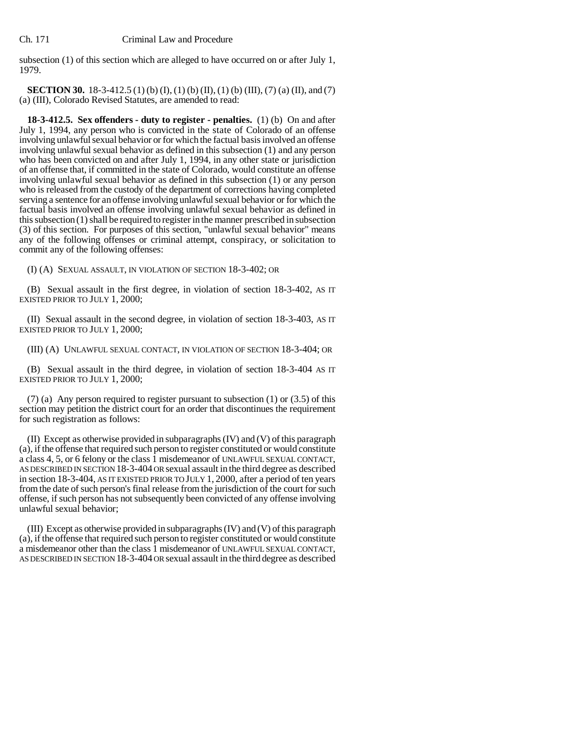subsection (1) of this section which are alleged to have occurred on or after July 1, 1979.

**SECTION 30.** 18-3-412.5 (1) (b) (I), (1) (b) (II), (1) (b) (III), (7) (a) (II), and (7) (a) (III), Colorado Revised Statutes, are amended to read:

**18-3-412.5. Sex offenders - duty to register - penalties.** (1) (b) On and after July 1, 1994, any person who is convicted in the state of Colorado of an offense involving unlawful sexual behavior or for which the factual basis involved an offense involving unlawful sexual behavior as defined in this subsection (1) and any person who has been convicted on and after July 1, 1994, in any other state or jurisdiction of an offense that, if committed in the state of Colorado, would constitute an offense involving unlawful sexual behavior as defined in this subsection (1) or any person who is released from the custody of the department of corrections having completed serving a sentence for an offense involving unlawful sexual behavior or for which the factual basis involved an offense involving unlawful sexual behavior as defined in this subsection (1) shall be required to register in the manner prescribed in subsection (3) of this section. For purposes of this section, "unlawful sexual behavior" means any of the following offenses or criminal attempt, conspiracy, or solicitation to commit any of the following offenses:

(I) (A) SEXUAL ASSAULT, IN VIOLATION OF SECTION 18-3-402; OR

(B) Sexual assault in the first degree, in violation of section 18-3-402, AS IT EXISTED PRIOR TO JULY 1, 2000;

(II) Sexual assault in the second degree, in violation of section 18-3-403, AS IT EXISTED PRIOR TO JULY 1, 2000;

(III) (A) UNLAWFUL SEXUAL CONTACT, IN VIOLATION OF SECTION 18-3-404; OR

(B) Sexual assault in the third degree, in violation of section 18-3-404 AS IT EXISTED PRIOR TO JULY 1, 2000;

 $(7)$  (a) Any person required to register pursuant to subsection  $(1)$  or  $(3.5)$  of this section may petition the district court for an order that discontinues the requirement for such registration as follows:

(II) Except as otherwise provided in subparagraphs (IV) and (V) of this paragraph (a), if the offense that required such person to register constituted or would constitute a class 4, 5, or 6 felony or the class 1 misdemeanor of UNLAWFUL SEXUAL CONTACT, AS DESCRIBED IN SECTION 18-3-404 OR sexual assault in the third degree as described in section 18-3-404, AS IT EXISTED PRIOR TO JULY 1, 2000, after a period of ten years from the date of such person's final release from the jurisdiction of the court for such offense, if such person has not subsequently been convicted of any offense involving unlawful sexual behavior;

(III) Except as otherwise provided in subparagraphs (IV) and (V) of this paragraph (a), if the offense that required such person to register constituted or would constitute a misdemeanor other than the class 1 misdemeanor of UNLAWFUL SEXUAL CONTACT, AS DESCRIBED IN SECTION 18-3-404 OR sexual assault in the third degree as described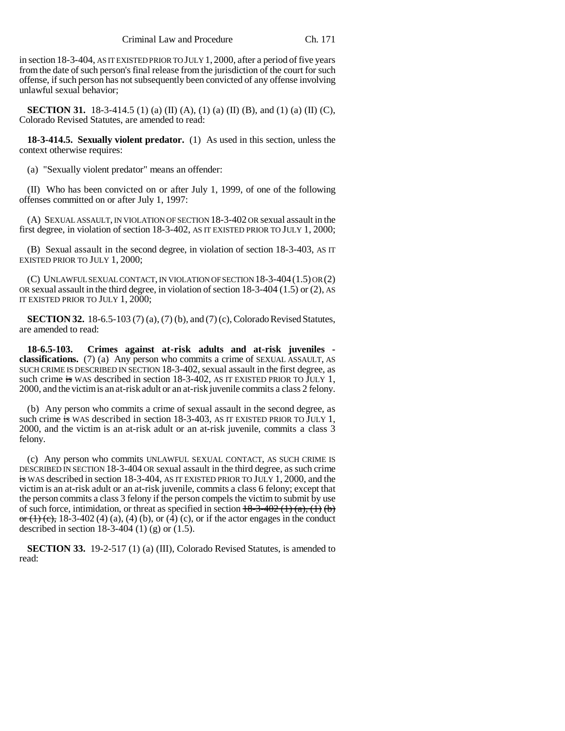in section 18-3-404, AS IT EXISTED PRIOR TO JULY 1, 2000, after a period of five years from the date of such person's final release from the jurisdiction of the court for such offense, if such person has not subsequently been convicted of any offense involving unlawful sexual behavior;

**SECTION 31.** 18-3-414.5 (1) (a) (II) (A), (1) (a) (II) (B), and (1) (a) (II) (C), Colorado Revised Statutes, are amended to read:

**18-3-414.5. Sexually violent predator.** (1) As used in this section, unless the context otherwise requires:

(a) "Sexually violent predator" means an offender:

(II) Who has been convicted on or after July 1, 1999, of one of the following offenses committed on or after July 1, 1997:

(A) SEXUAL ASSAULT, IN VIOLATION OF SECTION 18-3-402 OR sexual assault in the first degree, in violation of section 18-3-402, AS IT EXISTED PRIOR TO JULY 1, 2000;

(B) Sexual assault in the second degree, in violation of section 18-3-403, AS IT EXISTED PRIOR TO JULY 1, 2000;

(C) UNLAWFUL SEXUAL CONTACT, IN VIOLATION OF SECTION 18-3-404(1.5) OR (2) OR sexual assault in the third degree, in violation of section 18-3-404 (1.5) or (2), AS IT EXISTED PRIOR TO JULY 1, 2000;

**SECTION 32.** 18-6.5-103 (7) (a), (7) (b), and (7) (c), Colorado Revised Statutes, are amended to read:

**18-6.5-103. Crimes against at-risk adults and at-risk juveniles classifications.** (7) (a) Any person who commits a crime of SEXUAL ASSAULT, AS SUCH CRIME IS DESCRIBED IN SECTION 18-3-402, sexual assault in the first degree, as such crime is WAS described in section 18-3-402, AS IT EXISTED PRIOR TO  $\bar{J}$ ULY 1, 2000, and the victim is an at-risk adult or an at-risk juvenile commits a class 2 felony.

(b) Any person who commits a crime of sexual assault in the second degree, as such crime is WAS described in section 18-3-403, AS IT EXISTED PRIOR TO JULY 1, 2000, and the victim is an at-risk adult or an at-risk juvenile, commits a class 3 felony.

(c) Any person who commits UNLAWFUL SEXUAL CONTACT, AS SUCH CRIME IS DESCRIBED IN SECTION 18-3-404 OR sexual assault in the third degree, as such crime is WAS described in section 18-3-404, AS IT EXISTED PRIOR TO JULY 1, 2000, and the victim is an at-risk adult or an at-risk juvenile, commits a class 6 felony; except that the person commits a class 3 felony if the person compels the victim to submit by use of such force, intimidation, or threat as specified in section  $\frac{18-3-402(1)(a)}{1}(b)$ or (1) (c), 18-3-402 (4) (a), (4) (b), or (4) (c), or if the actor engages in the conduct described in section 18-3-404 (1) (g) or (1.5).

**SECTION 33.** 19-2-517 (1) (a) (III), Colorado Revised Statutes, is amended to read: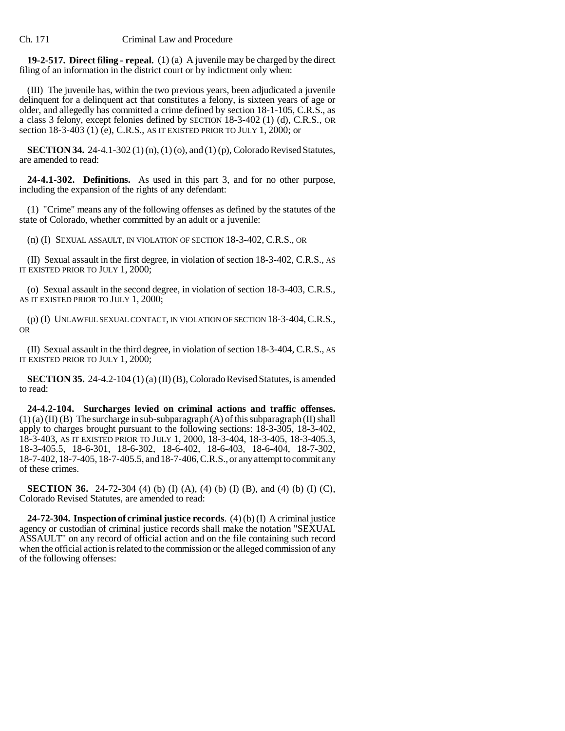**19-2-517. Direct filing - repeal.** (1) (a) A juvenile may be charged by the direct filing of an information in the district court or by indictment only when:

(III) The juvenile has, within the two previous years, been adjudicated a juvenile delinquent for a delinquent act that constitutes a felony, is sixteen years of age or older, and allegedly has committed a crime defined by section 18-1-105, C.R.S., as a class 3 felony, except felonies defined by SECTION 18-3-402 (1) (d), C.R.S., OR section 18-3-403 (1) (e), C.R.S., AS IT EXISTED PRIOR TO JULY 1, 2000; or

**SECTION 34.** 24-4.1-302 (1) (n), (1) (o), and (1) (p), Colorado Revised Statutes, are amended to read:

**24-4.1-302. Definitions.** As used in this part 3, and for no other purpose, including the expansion of the rights of any defendant:

(1) "Crime" means any of the following offenses as defined by the statutes of the state of Colorado, whether committed by an adult or a juvenile:

(n) (I) SEXUAL ASSAULT, IN VIOLATION OF SECTION 18-3-402, C.R.S., OR

(II) Sexual assault in the first degree, in violation of section 18-3-402, C.R.S., AS IT EXISTED PRIOR TO JULY 1, 2000;

(o) Sexual assault in the second degree, in violation of section 18-3-403, C.R.S., AS IT EXISTED PRIOR TO JULY 1, 2000;

(p) (I) UNLAWFUL SEXUAL CONTACT, IN VIOLATION OF SECTION 18-3-404,C.R.S., OR

(II) Sexual assault in the third degree, in violation of section 18-3-404, C.R.S., AS IT EXISTED PRIOR TO JULY 1, 2000;

**SECTION 35.** 24-4.2-104 (1) (a) (II) (B), Colorado Revised Statutes, is amended to read:

**24-4.2-104. Surcharges levied on criminal actions and traffic offenses.**  $(1)$  (a) (II) (B) The surcharge in sub-subparagraph (A) of this subparagraph (II) shall apply to charges brought pursuant to the following sections: 18-3-305, 18-3-402, 18-3-403, AS IT EXISTED PRIOR TO JULY 1, 2000, 18-3-404, 18-3-405, 18-3-405.3, 18-3-405.5, 18-6-301, 18-6-302, 18-6-402, 18-6-403, 18-6-404, 18-7-302, 18-7-402, 18-7-405, 18-7-405.5, and 18-7-406, C.R.S., or any attempt to commit any of these crimes.

**SECTION 36.** 24-72-304 (4) (b) (I) (A), (4) (b) (I) (B), and (4) (b) (I) (C), Colorado Revised Statutes, are amended to read:

**24-72-304. Inspection of criminal justice records**. (4) (b) (I) A criminal justice agency or custodian of criminal justice records shall make the notation "SEXUAL ASSAULT" on any record of official action and on the file containing such record when the official action is related to the commission or the alleged commission of any of the following offenses: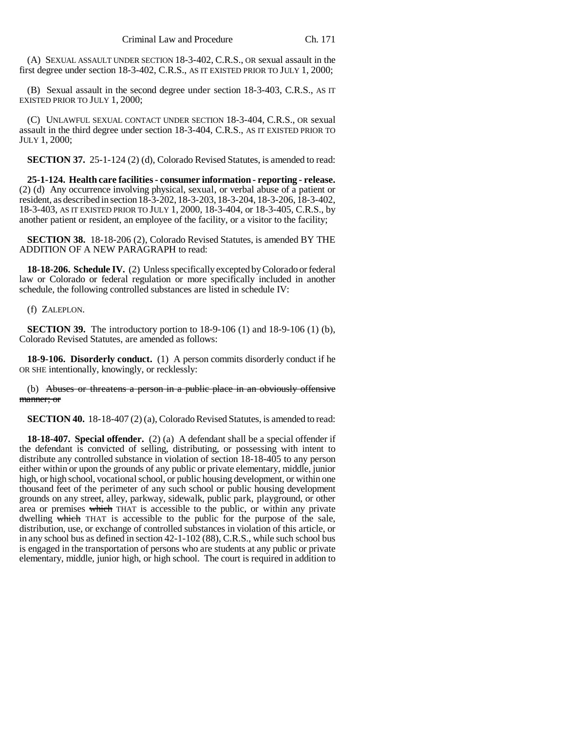(A) SEXUAL ASSAULT UNDER SECTION 18-3-402, C.R.S., OR sexual assault in the first degree under section 18-3-402, C.R.S., AS IT EXISTED PRIOR TO JULY 1, 2000;

(B) Sexual assault in the second degree under section 18-3-403, C.R.S., AS IT EXISTED PRIOR TO JULY 1, 2000;

(C) UNLAWFUL SEXUAL CONTACT UNDER SECTION 18-3-404, C.R.S., OR sexual assault in the third degree under section 18-3-404, C.R.S., AS IT EXISTED PRIOR TO JULY 1, 2000;

**SECTION 37.** 25-1-124 (2) (d), Colorado Revised Statutes, is amended to read:

**25-1-124. Health care facilities - consumer information - reporting - release.** (2) (d) Any occurrence involving physical, sexual, or verbal abuse of a patient or resident, as described in section 18-3-202, 18-3-203, 18-3-204, 18-3-206, 18-3-402, 18-3-403, AS IT EXISTED PRIOR TO JULY 1, 2000, 18-3-404, or 18-3-405, C.R.S., by another patient or resident, an employee of the facility, or a visitor to the facility;

**SECTION 38.** 18-18-206 (2), Colorado Revised Statutes, is amended BY THE ADDITION OF A NEW PARAGRAPH to read:

**18-18-206. Schedule IV.** (2) Unless specifically excepted by Colorado or federal law or Colorado or federal regulation or more specifically included in another schedule, the following controlled substances are listed in schedule IV:

(f) ZALEPLON.

**SECTION 39.** The introductory portion to 18-9-106 (1) and 18-9-106 (1) (b), Colorado Revised Statutes, are amended as follows:

**18-9-106. Disorderly conduct.** (1) A person commits disorderly conduct if he OR SHE intentionally, knowingly, or recklessly:

(b) Abuses or threatens a person in a public place in an obviously offensive manner; or

**SECTION 40.** 18-18-407 (2) (a), Colorado Revised Statutes, is amended to read:

**18-18-407. Special offender.** (2) (a) A defendant shall be a special offender if the defendant is convicted of selling, distributing, or possessing with intent to distribute any controlled substance in violation of section 18-18-405 to any person either within or upon the grounds of any public or private elementary, middle, junior high, or high school, vocational school, or public housing development, or within one thousand feet of the perimeter of any such school or public housing development grounds on any street, alley, parkway, sidewalk, public park, playground, or other area or premises which THAT is accessible to the public, or within any private dwelling which THAT is accessible to the public for the purpose of the sale, distribution, use, or exchange of controlled substances in violation of this article, or in any school bus as defined in section 42-1-102 (88), C.R.S., while such school bus is engaged in the transportation of persons who are students at any public or private elementary, middle, junior high, or high school. The court is required in addition to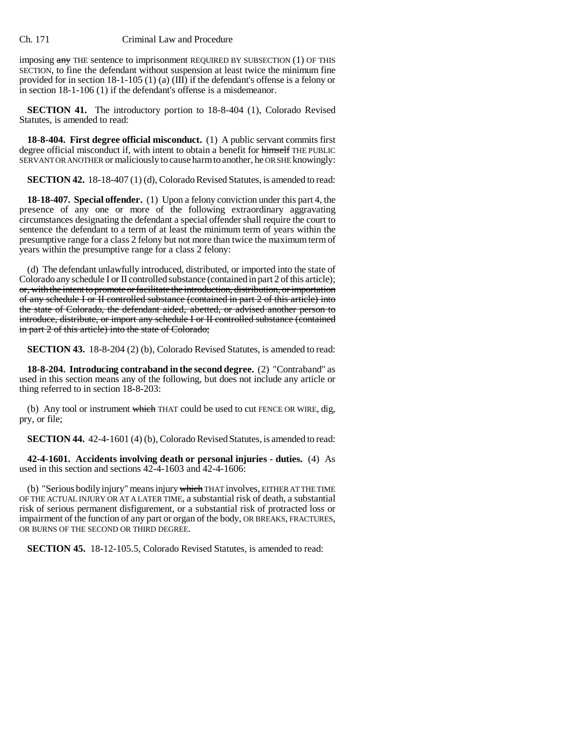imposing any THE sentence to imprisonment REQUIRED BY SUBSECTION (1) OF THIS SECTION, to fine the defendant without suspension at least twice the minimum fine provided for in section 18-1-105 (1) (a)  $(III)$  if the defendant's offense is a felony or in section 18-1-106 (1) if the defendant's offense is a misdemeanor.

**SECTION 41.** The introductory portion to 18-8-404 (1), Colorado Revised Statutes, is amended to read:

**18-8-404. First degree official misconduct.** (1) A public servant commits first degree official misconduct if, with intent to obtain a benefit for himself THE PUBLIC SERVANT OR ANOTHER or maliciously to cause harm to another, he OR SHE knowingly:

**SECTION 42.** 18-18-407 (1) (d), Colorado Revised Statutes, is amended to read:

**18-18-407. Special offender.** (1) Upon a felony conviction under this part 4, the presence of any one or more of the following extraordinary aggravating circumstances designating the defendant a special offender shall require the court to sentence the defendant to a term of at least the minimum term of years within the presumptive range for a class 2 felony but not more than twice the maximum term of years within the presumptive range for a class 2 felony:

(d) The defendant unlawfully introduced, distributed, or imported into the state of Colorado any schedule I or II controlled substance (contained in part 2 of this article); or, with the intent to promote or facilitate the introduction, distribution, or importation of any schedule I or II controlled substance (contained in part 2 of this article) into the state of Colorado, the defendant aided, abetted, or advised another person to introduce, distribute, or import any schedule I or II controlled substance (contained in part 2 of this article) into the state of Colorado;

**SECTION 43.** 18-8-204 (2) (b), Colorado Revised Statutes, is amended to read:

**18-8-204. Introducing contraband in the second degree.** (2) "Contraband" as used in this section means any of the following, but does not include any article or thing referred to in section 18-8-203:

(b) Any tool or instrument which THAT could be used to cut FENCE OR WIRE, dig, pry, or file;

**SECTION 44.** 42-4-1601 (4) (b), Colorado Revised Statutes, is amended to read:

**42-4-1601. Accidents involving death or personal injuries - duties.** (4) As used in this section and sections 42-4-1603 and 42-4-1606:

(b) "Serious bodily injury" means injury which THAT involves, EITHER AT THE TIME OF THE ACTUAL INJURY OR AT A LATER TIME, a substantial risk of death, a substantial risk of serious permanent disfigurement, or a substantial risk of protracted loss or impairment of the function of any part or organ of the body, OR BREAKS, FRACTURES, OR BURNS OF THE SECOND OR THIRD DEGREE.

**SECTION 45.** 18-12-105.5, Colorado Revised Statutes, is amended to read: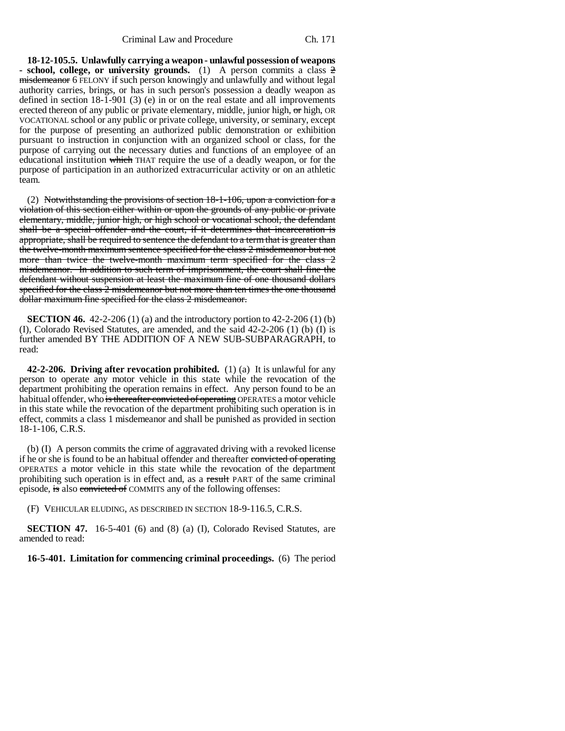**18-12-105.5. Unlawfully carrying a weapon - unlawful possession of weapons - school, college, or university grounds.** (1) A person commits a class 2 misdemeanor 6 FELONY if such person knowingly and unlawfully and without legal authority carries, brings, or has in such person's possession a deadly weapon as defined in section 18-1-901 (3) (e) in or on the real estate and all improvements erected thereon of any public or private elementary, middle, junior high,  $\sigma$ r high, OR VOCATIONAL school or any public or private college, university, or seminary, except for the purpose of presenting an authorized public demonstration or exhibition pursuant to instruction in conjunction with an organized school or class, for the purpose of carrying out the necessary duties and functions of an employee of an educational institution which THAT require the use of a deadly weapon, or for the purpose of participation in an authorized extracurricular activity or on an athletic team.

(2) Notwithstanding the provisions of section 18-1-106, upon a conviction for a violation of this section either within or upon the grounds of any public or private elementary, middle, junior high, or high school or vocational school, the defendant shall be a special offender and the court, if it determines that incarceration is appropriate, shall be required to sentence the defendant to a term that is greater than the twelve-month maximum sentence specified for the class 2 misdemeanor but not more than twice the twelve-month maximum term specified for the class 2 misdemeanor. In addition to such term of imprisonment, the court shall fine the defendant without suspension at least the maximum fine of one thousand dollars specified for the class 2 misdemeanor but not more than ten times the one thousand dollar maximum fine specified for the class 2 misdemeanor.

**SECTION 46.** 42-2-206 (1) (a) and the introductory portion to 42-2-206 (1) (b) (I), Colorado Revised Statutes, are amended, and the said 42-2-206 (1) (b) (I) is further amended BY THE ADDITION OF A NEW SUB-SUBPARAGRAPH, to read:

**42-2-206. Driving after revocation prohibited.** (1) (a) It is unlawful for any person to operate any motor vehicle in this state while the revocation of the department prohibiting the operation remains in effect. Any person found to be an habitual offender, who is thereafter convicted of operating OPERATES a motor vehicle in this state while the revocation of the department prohibiting such operation is in effect, commits a class 1 misdemeanor and shall be punished as provided in section 18-1-106, C.R.S.

(b) (I) A person commits the crime of aggravated driving with a revoked license if he or she is found to be an habitual offender and thereafter convicted of operating OPERATES a motor vehicle in this state while the revocation of the department prohibiting such operation is in effect and, as a result PART of the same criminal episode, is also convicted of COMMITS any of the following offenses:

(F) VEHICULAR ELUDING, AS DESCRIBED IN SECTION 18-9-116.5, C.R.S.

**SECTION 47.** 16-5-401 (6) and (8) (a) (I), Colorado Revised Statutes, are amended to read:

**16-5-401. Limitation for commencing criminal proceedings.** (6) The period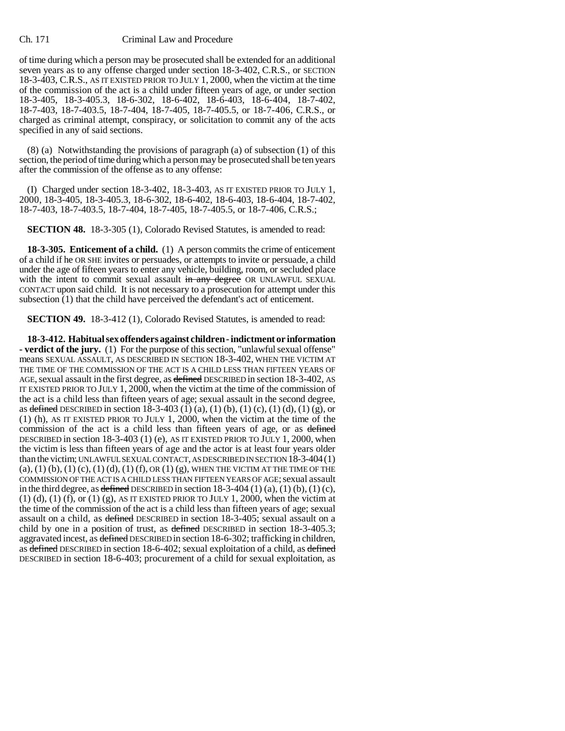of time during which a person may be prosecuted shall be extended for an additional seven years as to any offense charged under section 18-3-402, C.R.S., or SECTION 18-3-403, C.R.S., AS IT EXISTED PRIOR TO JULY 1, 2000, when the victim at the time of the commission of the act is a child under fifteen years of age, or under section 18-3-405, 18-3-405.3, 18-6-302, 18-6-402, 18-6-403, 18-6-404, 18-7-402, 18-7-403, 18-7-403.5, 18-7-404, 18-7-405, 18-7-405.5, or 18-7-406, C.R.S., or charged as criminal attempt, conspiracy, or solicitation to commit any of the acts specified in any of said sections.

(8) (a) Notwithstanding the provisions of paragraph (a) of subsection (1) of this section, the period of time during which a person may be prosecuted shall be ten years after the commission of the offense as to any offense:

(I) Charged under section 18-3-402, 18-3-403, AS IT EXISTED PRIOR TO JULY 1, 2000, 18-3-405, 18-3-405.3, 18-6-302, 18-6-402, 18-6-403, 18-6-404, 18-7-402, 18-7-403, 18-7-403.5, 18-7-404, 18-7-405, 18-7-405.5, or 18-7-406, C.R.S.;

**SECTION 48.** 18-3-305 (1), Colorado Revised Statutes, is amended to read:

**18-3-305. Enticement of a child.** (1) A person commits the crime of enticement of a child if he OR SHE invites or persuades, or attempts to invite or persuade, a child under the age of fifteen years to enter any vehicle, building, room, or secluded place with the intent to commit sexual assault in any degree OR UNLAWFUL SEXUAL CONTACT upon said child. It is not necessary to a prosecution for attempt under this subsection (1) that the child have perceived the defendant's act of enticement.

**SECTION 49.** 18-3-412 (1), Colorado Revised Statutes, is amended to read:

**18-3-412. Habitual sex offenders against children - indictment or information - verdict of the jury.** (1) For the purpose of this section, "unlawful sexual offense" means SEXUAL ASSAULT, AS DESCRIBED IN SECTION 18-3-402, WHEN THE VICTIM AT THE TIME OF THE COMMISSION OF THE ACT IS A CHILD LESS THAN FIFTEEN YEARS OF AGE, sexual assault in the first degree, as defined DESCRIBED in section 18-3-402, AS IT EXISTED PRIOR TO JULY 1, 2000, when the victim at the time of the commission of the act is a child less than fifteen years of age; sexual assault in the second degree, as defined DESCRIBED in section 18-3-403 (1) (a), (1) (b), (1) (c), (1) (d), (1) (g), or (1) (h), AS IT EXISTED PRIOR TO JULY 1, 2000, when the victim at the time of the commission of the act is a child less than fifteen years of age, or as defined DESCRIBED in section 18-3-403 (1) (e), AS IT EXISTED PRIOR TO JULY 1, 2000, when the victim is less than fifteen years of age and the actor is at least four years older than the victim; UNLAWFUL SEXUAL CONTACT, AS DESCRIBED IN SECTION 18-3-404(1)  $(a)$ ,  $(1)$   $(b)$ ,  $(1)$   $(c)$ ,  $(1)$   $(d)$ ,  $(1)$   $(f)$ ,  $OR$   $(1)$   $(g)$ , WHEN THE VICTIM AT THE TIME OF THE COMMISSION OF THE ACT IS A CHILD LESS THAN FIFTEEN YEARS OF AGE; sexual assault in the third degree, as defined DESCRIBED in section  $18-3-404$  (1) (a), (1) (b), (1) (c),  $(1)$  (d),  $(1)$  (f), or  $(1)$  (g), AS IT EXISTED PRIOR TO JULY 1, 2000, when the victim at the time of the commission of the act is a child less than fifteen years of age; sexual assault on a child, as defined DESCRIBED in section 18-3-405; sexual assault on a child by one in a position of trust, as defined DESCRIBED in section 18-3-405.3; aggravated incest, as defined DESCRIBED in section 18-6-302; trafficking in children, as defined DESCRIBED in section 18-6-402; sexual exploitation of a child, as defined DESCRIBED in section 18-6-403; procurement of a child for sexual exploitation, as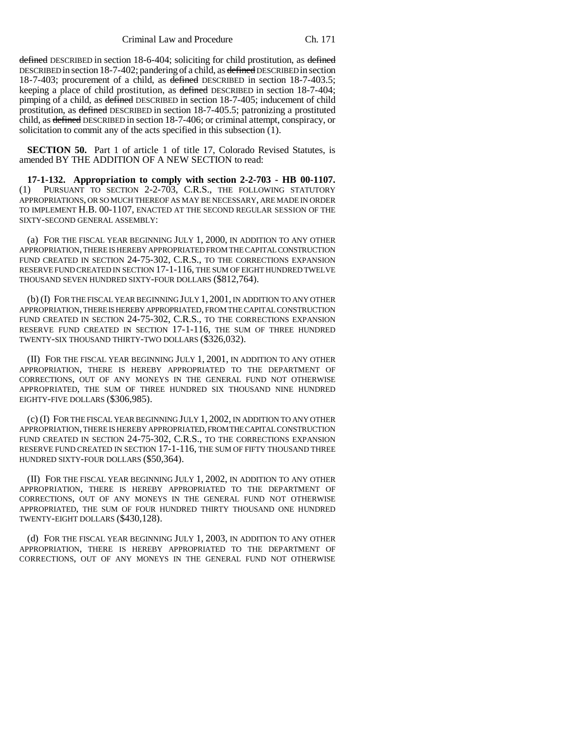Criminal Law and Procedure Ch. 171

defined DESCRIBED in section 18-6-404; soliciting for child prostitution, as defined DESCRIBED in section 18-7-402; pandering of a child, as defined DESCRIBED in section 18-7-403; procurement of a child, as defined DESCRIBED in section 18-7-403.5; keeping a place of child prostitution, as defined DESCRIBED in section 18-7-404; pimping of a child, as defined DESCRIBED in section 18-7-405; inducement of child prostitution, as defined DESCRIBED in section 18-7-405.5; patronizing a prostituted child, as defined DESCRIBED in section 18-7-406; or criminal attempt, conspiracy, or solicitation to commit any of the acts specified in this subsection  $(1)$ .

**SECTION 50.** Part 1 of article 1 of title 17, Colorado Revised Statutes, is amended BY THE ADDITION OF A NEW SECTION to read:

**17-1-132. Appropriation to comply with section 2-2-703 - HB 00-1107.** (1) PURSUANT TO SECTION 2-2-703, C.R.S., THE FOLLOWING STATUTORY APPROPRIATIONS, OR SO MUCH THEREOF AS MAY BE NECESSARY, ARE MADE IN ORDER TO IMPLEMENT H.B. 00-1107, ENACTED AT THE SECOND REGULAR SESSION OF THE SIXTY-SECOND GENERAL ASSEMBLY:

(a) FOR THE FISCAL YEAR BEGINNING JULY 1, 2000, IN ADDITION TO ANY OTHER APPROPRIATION, THERE IS HEREBY APPROPRIATED FROM THE CAPITAL CONSTRUCTION FUND CREATED IN SECTION 24-75-302, C.R.S., TO THE CORRECTIONS EXPANSION RESERVE FUND CREATED IN SECTION 17-1-116, THE SUM OF EIGHT HUNDRED TWELVE THOUSAND SEVEN HUNDRED SIXTY-FOUR DOLLARS (\$812,764).

(b) (I) FOR THE FISCAL YEAR BEGINNING JULY 1, 2001, IN ADDITION TO ANY OTHER APPROPRIATION, THERE IS HEREBY APPROPRIATED, FROM THE CAPITAL CONSTRUCTION FUND CREATED IN SECTION 24-75-302, C.R.S., TO THE CORRECTIONS EXPANSION RESERVE FUND CREATED IN SECTION 17-1-116, THE SUM OF THREE HUNDRED TWENTY-SIX THOUSAND THIRTY-TWO DOLLARS (\$326,032).

(II) FOR THE FISCAL YEAR BEGINNING JULY 1, 2001, IN ADDITION TO ANY OTHER APPROPRIATION, THERE IS HEREBY APPROPRIATED TO THE DEPARTMENT OF CORRECTIONS, OUT OF ANY MONEYS IN THE GENERAL FUND NOT OTHERWISE APPROPRIATED, THE SUM OF THREE HUNDRED SIX THOUSAND NINE HUNDRED EIGHTY-FIVE DOLLARS (\$306,985).

(c) (I) FOR THE FISCAL YEAR BEGINNING JULY 1, 2002, IN ADDITION TO ANY OTHER APPROPRIATION, THERE IS HEREBY APPROPRIATED, FROM THE CAPITAL CONSTRUCTION FUND CREATED IN SECTION 24-75-302, C.R.S., TO THE CORRECTIONS EXPANSION RESERVE FUND CREATED IN SECTION 17-1-116, THE SUM OF FIFTY THOUSAND THREE HUNDRED SIXTY-FOUR DOLLARS (\$50,364).

(II) FOR THE FISCAL YEAR BEGINNING JULY 1, 2002, IN ADDITION TO ANY OTHER APPROPRIATION, THERE IS HEREBY APPROPRIATED TO THE DEPARTMENT OF CORRECTIONS, OUT OF ANY MONEYS IN THE GENERAL FUND NOT OTHERWISE APPROPRIATED, THE SUM OF FOUR HUNDRED THIRTY THOUSAND ONE HUNDRED TWENTY-EIGHT DOLLARS (\$430,128).

(d) FOR THE FISCAL YEAR BEGINNING JULY 1, 2003, IN ADDITION TO ANY OTHER APPROPRIATION, THERE IS HEREBY APPROPRIATED TO THE DEPARTMENT OF CORRECTIONS, OUT OF ANY MONEYS IN THE GENERAL FUND NOT OTHERWISE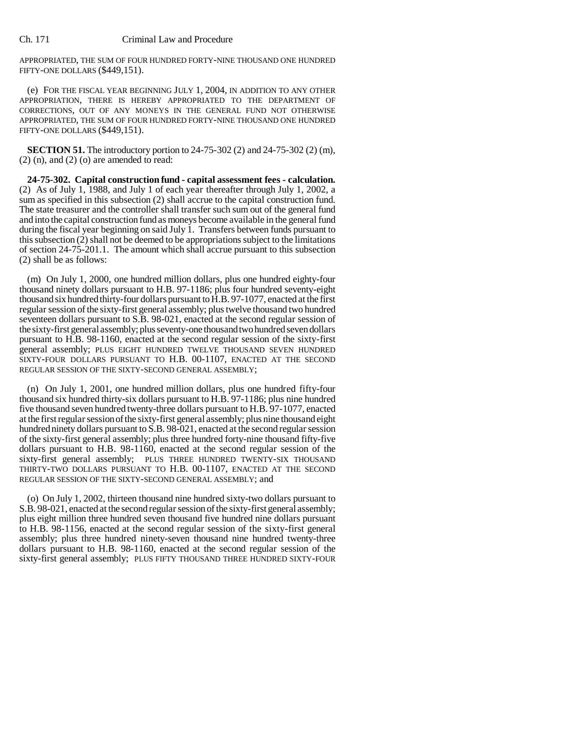APPROPRIATED, THE SUM OF FOUR HUNDRED FORTY-NINE THOUSAND ONE HUNDRED FIFTY-ONE DOLLARS (\$449,151).

(e) FOR THE FISCAL YEAR BEGINNING JULY 1, 2004, IN ADDITION TO ANY OTHER APPROPRIATION, THERE IS HEREBY APPROPRIATED TO THE DEPARTMENT OF CORRECTIONS, OUT OF ANY MONEYS IN THE GENERAL FUND NOT OTHERWISE APPROPRIATED, THE SUM OF FOUR HUNDRED FORTY-NINE THOUSAND ONE HUNDRED FIFTY-ONE DOLLARS (\$449,151).

**SECTION 51.** The introductory portion to 24-75-302 (2) and 24-75-302 (2) (m),  $(2)$  (n), and  $(2)$  (o) are amended to read:

**24-75-302. Capital construction fund - capital assessment fees - calculation.** (2) As of July 1, 1988, and July 1 of each year thereafter through July 1, 2002, a sum as specified in this subsection (2) shall accrue to the capital construction fund. The state treasurer and the controller shall transfer such sum out of the general fund and into the capital construction fund as moneys become available in the general fund during the fiscal year beginning on said July 1. Transfers between funds pursuant to this subsection (2) shall not be deemed to be appropriations subject to the limitations of section 24-75-201.1. The amount which shall accrue pursuant to this subsection (2) shall be as follows:

(m) On July 1, 2000, one hundred million dollars, plus one hundred eighty-four thousand ninety dollars pursuant to H.B. 97-1186; plus four hundred seventy-eight thousand six hundred thirty-four dollars pursuant to H.B. 97-1077, enacted at the first regular session of the sixty-first general assembly; plus twelve thousand two hundred seventeen dollars pursuant to S.B. 98-021, enacted at the second regular session of the sixty-first general assembly; plus seventy-one thousand two hundred seven dollars pursuant to H.B. 98-1160, enacted at the second regular session of the sixty-first general assembly; PLUS EIGHT HUNDRED TWELVE THOUSAND SEVEN HUNDRED SIXTY-FOUR DOLLARS PURSUANT TO H.B. 00-1107, ENACTED AT THE SECOND REGULAR SESSION OF THE SIXTY-SECOND GENERAL ASSEMBLY;

(n) On July 1, 2001, one hundred million dollars, plus one hundred fifty-four thousand six hundred thirty-six dollars pursuant to H.B. 97-1186; plus nine hundred five thousand seven hundred twenty-three dollars pursuant to H.B. 97-1077, enacted at the first regular session of the sixty-first general assembly; plus nine thousand eight hundred ninety dollars pursuant to S.B. 98-021, enacted at the second regular session of the sixty-first general assembly; plus three hundred forty-nine thousand fifty-five dollars pursuant to H.B. 98-1160, enacted at the second regular session of the sixty-first general assembly; PLUS THREE HUNDRED TWENTY-SIX THOUSAND THIRTY-TWO DOLLARS PURSUANT TO H.B. 00-1107, ENACTED AT THE SECOND REGULAR SESSION OF THE SIXTY-SECOND GENERAL ASSEMBLY; and

(o) On July 1, 2002, thirteen thousand nine hundred sixty-two dollars pursuant to S.B. 98-021, enacted at the second regular session of the sixty-first general assembly; plus eight million three hundred seven thousand five hundred nine dollars pursuant to H.B. 98-1156, enacted at the second regular session of the sixty-first general assembly; plus three hundred ninety-seven thousand nine hundred twenty-three dollars pursuant to H.B. 98-1160, enacted at the second regular session of the sixty-first general assembly; PLUS FIFTY THOUSAND THREE HUNDRED SIXTY-FOUR